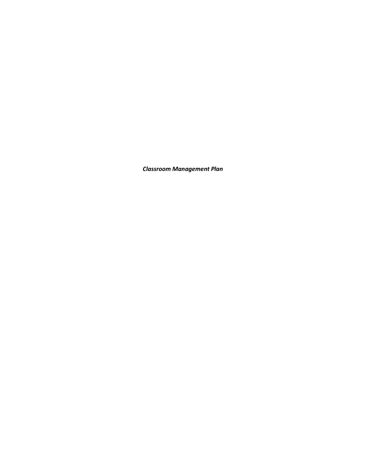*Classroom Management Plan*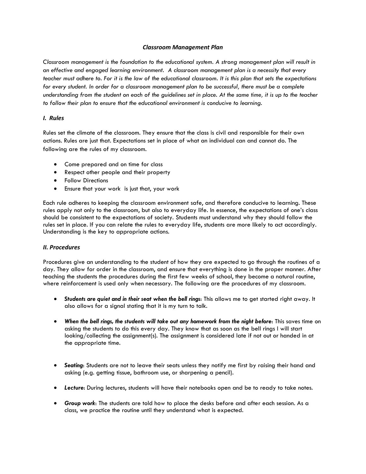## *Classroom Management Plan*

*Classroom management is the foundation to the educational system. A strong management plan will result in an effective and engaged learning environment. A classroom management plan is a necessity that every teacher must adhere to. For it is the law of the educational classroom. It is this plan that sets the expectations for every student. In order for a classroom management plan to be successful, there must be a complete understanding from the student on each of the guidelines set in place. At the same time, it is up to the teacher to follow their plan to ensure that the educational environment is conducive to learning.*

## *I. Rules*

Rules set the climate of the classroom. They ensure that the class is civil and responsible for their own actions. Rules are just that. Expectations set in place of what an individual can and cannot do. The following are the rules of my classroom.

- Come prepared and on time for class
- Respect other people and their property
- **•** Follow Directions
- Ensure that your work is just that, your work

Each rule adheres to keeping the classroom environment safe, and therefore conducive to learning. These rules apply not only to the classroom, but also to everyday life. In essence, the expectations of one's class should be consistent to the expectations of society. Students must understand why they should follow the rules set in place. If you can relate the rules to everyday life, students are more likely to act accordingly. Understanding is the key to appropriate actions.

## *II. Procedures*

Procedures give an understanding to the student of how they are expected to go through the routines of a day. They allow for order in the classroom, and ensure that everything is done in the proper manner. After teaching the students the procedures during the first few weeks of school, they become a natural routine, where reinforcement is used only when necessary. The following are the procedures of my classroom.

- *Students are quiet and in their seat when the bell rings*: This allows me to get started right away. It also allows for a signal stating that it is my turn to talk.
- *When the bell rings, the students will take out any homework from the night before*: This saves time on asking the students to do this every day. They know that as soon as the bell rings I will start looking/collecting the assignment(s). The assignment is considered late if not out or handed in at the appropriate time.
- *Seating*: Students are not to leave their seats unless they notify me first by raising their hand and asking (e.g. getting tissue, bathroom use, or sharpening a pencil).
- *Lecture*: During lectures, students will have their notebooks open and be to ready to take notes.
- *Group work*: The students are told how to place the desks before and after each session. As a class, we practice the routine until they understand what is expected.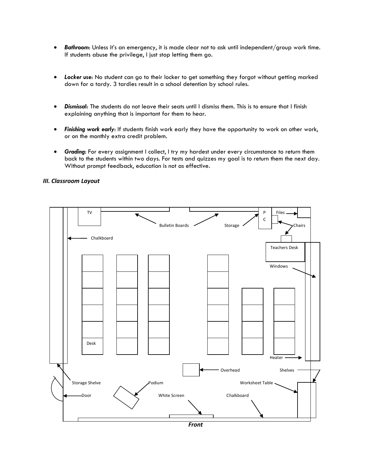- *Bathroom*: Unless it's an emergency, it is made clear not to ask until independent/group work time. If students abuse the privilege, I just stop letting them go.
- *Locker use*: No student can go to their locker to get something they forgot without getting marked down for a tardy. 3 tardies result in a school detention by school rules.
- *Dismissa***l**: The students do not leave their seats until I dismiss them. This is to ensure that I finish explaining anything that is important for them to hear.
- *Finishing work early*: If students finish work early they have the opportunity to work on other work, or on the monthly extra credit problem.
- **Grading:** For every assignment I collect, I try my hardest under every circumstance to return them back to the students within two days. For tests and quizzes my goal is to return them the next day. Without prompt feedback, education is not as effective.



# *III. Classroom Layout*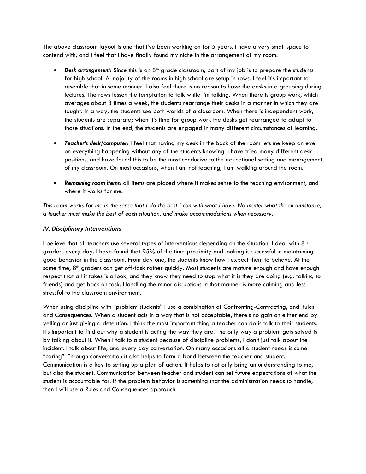The above classroom layout is one that I've been working on for 5 years. I have a very small space to contend with, and I feel that I have finally found my niche in the arrangement of my room.

- **Desk arrangement:** Since this is an 8<sup>th</sup> grade classroom, part of my job is to prepare the students for high school. A majority of the rooms in high school are setup in rows. I feel it's important to resemble that in some manner. I also feel there is no reason to have the desks in a grouping during lectures. The rows lessen the temptation to talk while I'm talking. When there is group work, which averages about 3 times a week, the students rearrange their desks in a manner in which they are taught. In a way, the students see both worlds of a classroom. When there is independent work, the students are separate; when it's time for group work the desks get rearranged to adapt to those situations. In the end, the students are engaged in many different circumstances of learning.
- *Teacher's desk/computer*: I feel that having my desk in the back of the room lets me keep an eye on everything happening without any of the students knowing. I have tried many different desk positions, and have found this to be the most conducive to the educational setting and management of my classroom. On most occasions, when I am not teaching, I am walking around the room.
- *Remaining room items*: all items are placed where it makes sense to the teaching environment, and where it works for me.

*This room works for me in the sense that I do the best I can with what I have. No matter what the circumstance, a teacher must make the best of each situation, and make accommodations when necessary.*

# *IV. Disciplinary Interventions*

I believe that all teachers use several types of interventions depending on the situation. I deal with  $8<sup>th</sup>$ graders every day. I have found that 95% of the time proximity and looking is successful in maintaining good behavior in the classroom. From day one, the students know how I expect them to behave. At the same time,  $8<sup>th</sup>$  graders can get off-task rather quickly. Most students are mature enough and have enough respect that all it takes is a look, and they know they need to stop what it is they are doing (e.g. talking to friends) and get back on task. Handling the minor disruptions in that manner is more calming and less stressful to the classroom environment.

When using discipline with "problem students" I use a combination of Confronting-Contracting, and Rules and Consequences. When a student acts in a way that is not acceptable, there's no gain on either end by yelling or just giving a detention. I think the most important thing a teacher can do is talk to their students. It's important to find out why a student is acting the way they are. The only way a problem gets solved is by talking about it. When I talk to a student because of discipline problems, I don't just talk about the incident. I talk about life, and every day conversation. On many occasions all a student needs is some "caring". Through conversation it also helps to form a bond between the teacher and student. Communication is a key to setting up a plan of action. It helps to not only bring an understanding to me, but also the student. Communication between teacher and student can set future expectations of what the student is accountable for. If the problem behavior is something that the administration needs to handle, then I will use a Rules and Consequences approach.